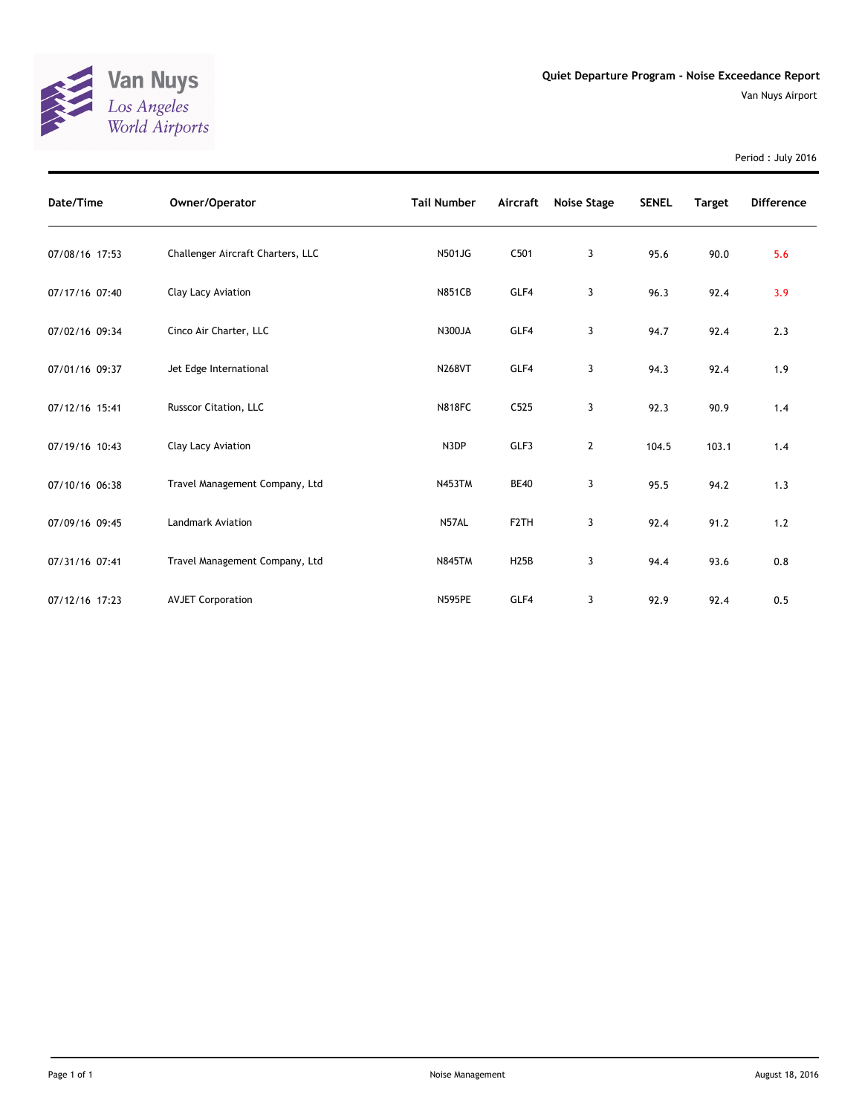

Period : July 2016

| Date/Time      | Owner/Operator                    | <b>Tail Number</b> | Aircraft          | Noise Stage | <b>SENEL</b> | <b>Target</b> | <b>Difference</b> |
|----------------|-----------------------------------|--------------------|-------------------|-------------|--------------|---------------|-------------------|
| 07/08/16 17:53 | Challenger Aircraft Charters, LLC | <b>N501JG</b>      | C501              | 3           | 95.6         | 90.0          | 5.6               |
| 07/17/16 07:40 | Clay Lacy Aviation                | <b>N851CB</b>      | GLF4              | 3           | 96.3         | 92.4          | 3.9               |
| 07/02/16 09:34 | Cinco Air Charter, LLC            | <b>N300JA</b>      | GLF4              | 3           | 94.7         | 92.4          | 2.3               |
| 07/01/16 09:37 | Jet Edge International            | <b>N268VT</b>      | GLF4              | 3           | 94.3         | 92.4          | 1.9               |
| 07/12/16 15:41 | Russcor Citation, LLC             | <b>N818FC</b>      | C525              | 3           | 92.3         | 90.9          | 1.4               |
| 07/19/16 10:43 | Clay Lacy Aviation                | N3DP               | GLF3              | 2           | 104.5        | 103.1         | 1.4               |
| 07/10/16 06:38 | Travel Management Company, Ltd    | <b>N453TM</b>      | <b>BE40</b>       | 3           | 95.5         | 94.2          | 1.3               |
| 07/09/16 09:45 | <b>Landmark Aviation</b>          | N57AL              | F <sub>2</sub> TH | 3           | 92.4         | 91.2          | 1.2               |
| 07/31/16 07:41 | Travel Management Company, Ltd    | <b>N845TM</b>      | <b>H25B</b>       | 3           | 94.4         | 93.6          | 0.8               |
| 07/12/16 17:23 | <b>AVJET Corporation</b>          | <b>N595PE</b>      | GLF4              | 3           | 92.9         | 92.4          | 0.5               |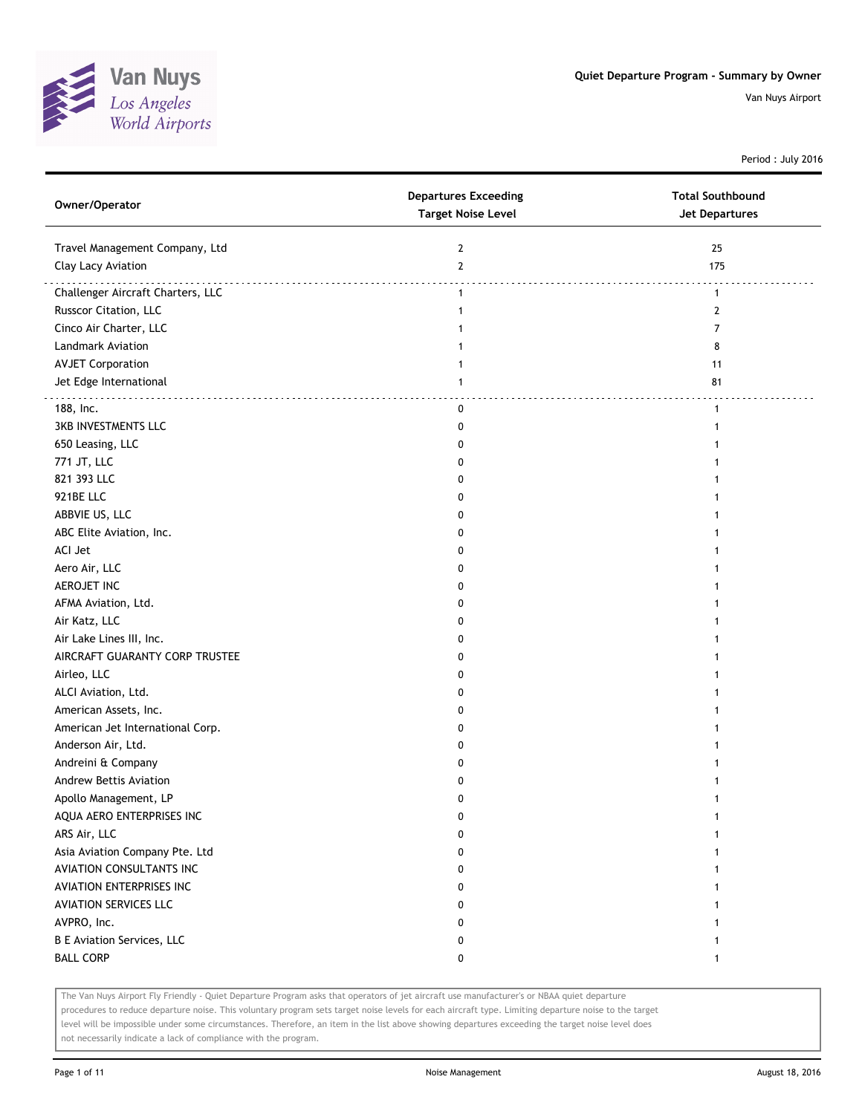

Period : July 2016

| Owner/Operator                    | <b>Departures Exceeding</b><br><b>Target Noise Level</b> | <b>Total Southbound</b><br><b>Jet Departures</b> |
|-----------------------------------|----------------------------------------------------------|--------------------------------------------------|
| Travel Management Company, Ltd    | $\mathbf{2}$                                             | 25                                               |
| Clay Lacy Aviation                | $\mathbf{2}$                                             | 175                                              |
| Challenger Aircraft Charters, LLC | $\mathbf{1}$                                             | $\mathbf{1}$                                     |
| Russcor Citation, LLC             | $\mathbf{1}$                                             | $\mathbf{2}$                                     |
| Cinco Air Charter, LLC            |                                                          | 7                                                |
| Landmark Aviation                 | 1                                                        | 8                                                |
| <b>AVJET Corporation</b>          | 1                                                        | 11                                               |
| Jet Edge International            | 1                                                        | 81                                               |
| 188, Inc.                         | 0                                                        | 1                                                |
| <b>3KB INVESTMENTS LLC</b>        | 0                                                        | 1                                                |
| 650 Leasing, LLC                  | 0                                                        |                                                  |
| 771 JT, LLC                       | 0                                                        |                                                  |
| 821 393 LLC                       | 0                                                        |                                                  |
| 921BE LLC                         | 0                                                        |                                                  |
| ABBVIE US, LLC                    | 0                                                        |                                                  |
| ABC Elite Aviation, Inc.          | 0                                                        |                                                  |
| ACI Jet                           | 0                                                        |                                                  |
| Aero Air, LLC                     | 0                                                        |                                                  |
| AEROJET INC                       | 0                                                        |                                                  |
| AFMA Aviation, Ltd.               | 0                                                        |                                                  |
| Air Katz, LLC                     | 0                                                        |                                                  |
| Air Lake Lines III, Inc.          | 0                                                        |                                                  |
| AIRCRAFT GUARANTY CORP TRUSTEE    | 0                                                        |                                                  |
| Airleo, LLC                       | 0                                                        |                                                  |
| ALCI Aviation, Ltd.               | 0                                                        |                                                  |
| American Assets, Inc.             | 0                                                        |                                                  |
| American Jet International Corp.  | 0                                                        |                                                  |
| Anderson Air, Ltd.                | 0                                                        |                                                  |
| Andreini & Company                | 0                                                        |                                                  |
| Andrew Bettis Aviation            | 0                                                        |                                                  |
| Apollo Management, LP             | 0                                                        |                                                  |
| AQUA AERO ENTERPRISES INC         |                                                          |                                                  |
| ARS Air, LLC                      | 0                                                        |                                                  |
| Asia Aviation Company Pte. Ltd    | 0                                                        |                                                  |
| AVIATION CONSULTANTS INC          | 0                                                        |                                                  |
| AVIATION ENTERPRISES INC          | 0                                                        |                                                  |
| <b>AVIATION SERVICES LLC</b>      | 0                                                        |                                                  |
| AVPRO, Inc.                       | 0                                                        |                                                  |
| <b>B E Aviation Services, LLC</b> | 0                                                        |                                                  |
| <b>BALL CORP</b>                  | 0                                                        | $\mathbf{1}$                                     |

The Van Nuys Airport Fly Friendly - Quiet Departure Program asks that operators of jet aircraft use manufacturer's or NBAA quiet departure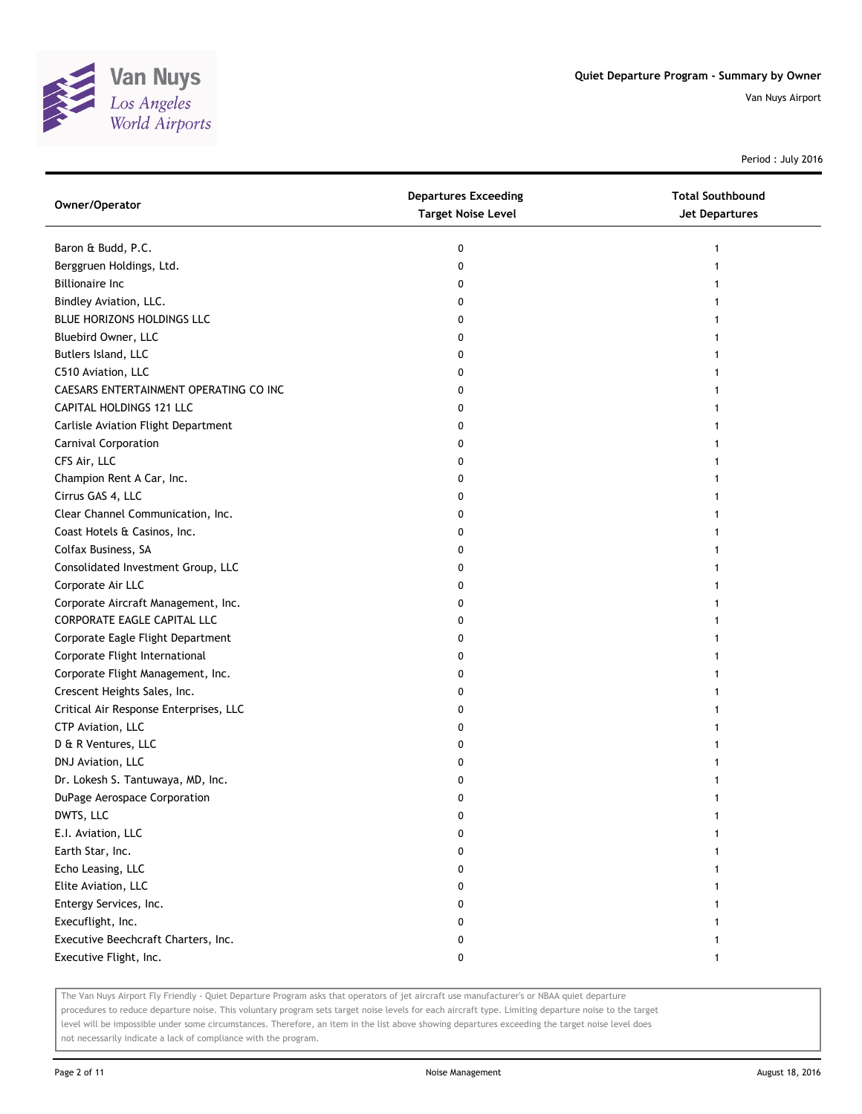

Period : July 2016

| Owner/Operator                         | <b>Departures Exceeding</b><br><b>Target Noise Level</b> | <b>Total Southbound</b><br><b>Jet Departures</b> |
|----------------------------------------|----------------------------------------------------------|--------------------------------------------------|
| Baron & Budd, P.C.                     | 0                                                        | 1                                                |
| Berggruen Holdings, Ltd.               | 0                                                        |                                                  |
| <b>Billionaire Inc</b>                 | 0                                                        |                                                  |
| Bindley Aviation, LLC.                 | 0                                                        |                                                  |
| BLUE HORIZONS HOLDINGS LLC             | 0                                                        |                                                  |
| Bluebird Owner, LLC                    | 0                                                        |                                                  |
| Butlers Island, LLC                    | 0                                                        |                                                  |
| C510 Aviation, LLC                     | 0                                                        |                                                  |
| CAESARS ENTERTAINMENT OPERATING CO INC | 0                                                        |                                                  |
| CAPITAL HOLDINGS 121 LLC               | 0                                                        |                                                  |
| Carlisle Aviation Flight Department    | 0                                                        |                                                  |
| Carnival Corporation                   | 0                                                        |                                                  |
| CFS Air, LLC                           | 0                                                        |                                                  |
| Champion Rent A Car, Inc.              | 0                                                        |                                                  |
| Cirrus GAS 4, LLC                      | 0                                                        |                                                  |
| Clear Channel Communication, Inc.      | 0                                                        |                                                  |
| Coast Hotels & Casinos, Inc.           | 0                                                        |                                                  |
| Colfax Business, SA                    | 0                                                        |                                                  |
| Consolidated Investment Group, LLC     | 0                                                        |                                                  |
| Corporate Air LLC                      | 0                                                        |                                                  |
| Corporate Aircraft Management, Inc.    | 0                                                        |                                                  |
| CORPORATE EAGLE CAPITAL LLC            | 0                                                        |                                                  |
| Corporate Eagle Flight Department      | 0                                                        |                                                  |
| Corporate Flight International         | 0                                                        |                                                  |
| Corporate Flight Management, Inc.      | 0                                                        |                                                  |
| Crescent Heights Sales, Inc.           | 0                                                        |                                                  |
| Critical Air Response Enterprises, LLC | 0                                                        |                                                  |
| CTP Aviation, LLC                      | 0                                                        |                                                  |
| D & R Ventures, LLC                    | 0                                                        |                                                  |
| DNJ Aviation, LLC                      | 0                                                        |                                                  |
| Dr. Lokesh S. Tantuwaya, MD, Inc.      | 0                                                        |                                                  |
| DuPage Aerospace Corporation           | 0                                                        |                                                  |
| DWTS, LLC                              | U                                                        |                                                  |
| E.I. Aviation, LLC                     | 0                                                        |                                                  |
| Earth Star, Inc.                       | 0                                                        |                                                  |
| Echo Leasing, LLC                      | 0                                                        |                                                  |
| Elite Aviation, LLC                    | 0                                                        |                                                  |
| Entergy Services, Inc.                 | 0                                                        |                                                  |
| Execuflight, Inc.                      | 0                                                        |                                                  |
| Executive Beechcraft Charters, Inc.    | 0                                                        |                                                  |
| Executive Flight, Inc.                 | 0                                                        |                                                  |

The Van Nuys Airport Fly Friendly - Quiet Departure Program asks that operators of jet aircraft use manufacturer's or NBAA quiet departure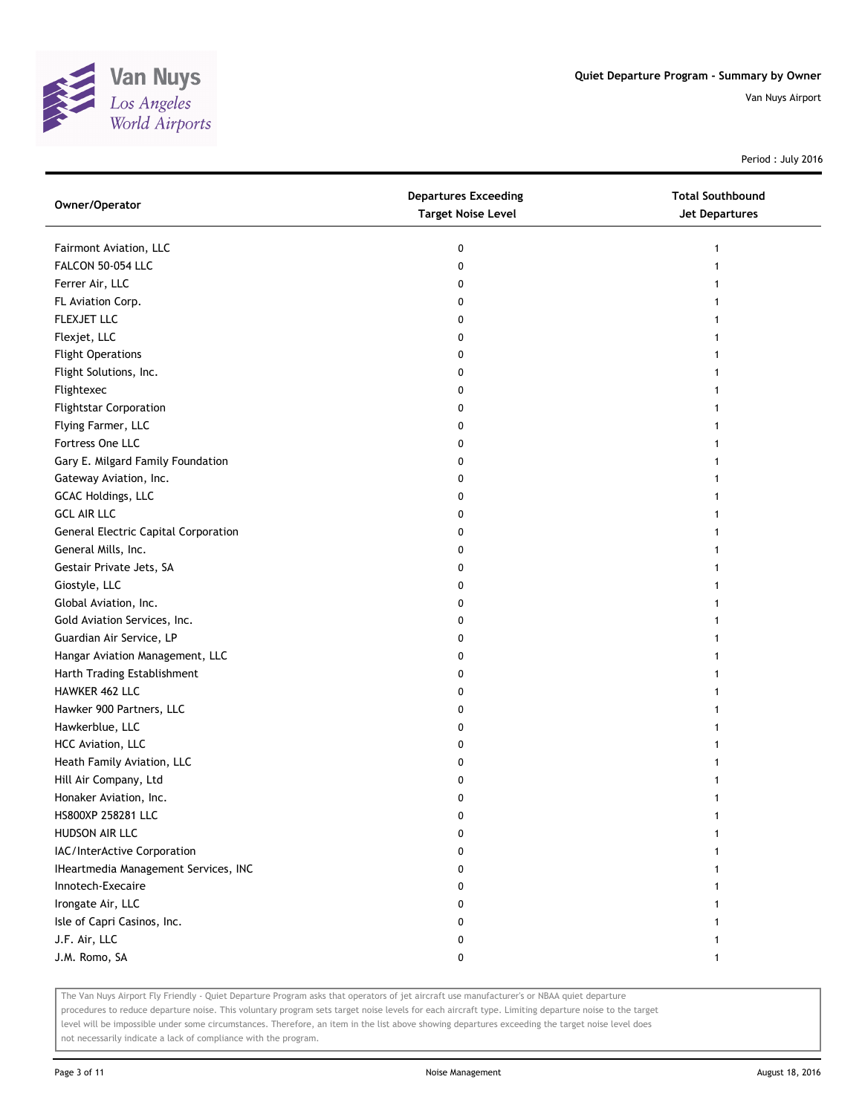

Period : July 2016

| Owner/Operator                              | <b>Departures Exceeding</b><br><b>Target Noise Level</b> | <b>Total Southbound</b><br><b>Jet Departures</b> |
|---------------------------------------------|----------------------------------------------------------|--------------------------------------------------|
| Fairmont Aviation, LLC                      | 0                                                        | 1                                                |
| FALCON 50-054 LLC                           | 0                                                        |                                                  |
| Ferrer Air, LLC                             | 0                                                        |                                                  |
| FL Aviation Corp.                           | 0                                                        |                                                  |
| FLEXJET LLC                                 | 0                                                        |                                                  |
| Flexjet, LLC                                | 0                                                        |                                                  |
| <b>Flight Operations</b>                    | 0                                                        |                                                  |
| Flight Solutions, Inc.                      | 0                                                        |                                                  |
| Flightexec                                  | 0                                                        |                                                  |
| <b>Flightstar Corporation</b>               | 0                                                        |                                                  |
| Flying Farmer, LLC                          | 0                                                        |                                                  |
| Fortress One LLC                            | 0                                                        |                                                  |
| Gary E. Milgard Family Foundation           | 0                                                        |                                                  |
| Gateway Aviation, Inc.                      | 0                                                        |                                                  |
| GCAC Holdings, LLC                          | 0                                                        |                                                  |
| <b>GCL AIR LLC</b>                          | 0                                                        |                                                  |
| <b>General Electric Capital Corporation</b> | 0                                                        | 1                                                |
| General Mills, Inc.                         | 0                                                        |                                                  |
| Gestair Private Jets, SA                    | 0                                                        |                                                  |
| Giostyle, LLC                               | 0                                                        |                                                  |
| Global Aviation, Inc.                       | 0                                                        |                                                  |
| Gold Aviation Services, Inc.                | 0                                                        |                                                  |
| Guardian Air Service, LP                    | 0                                                        |                                                  |
| Hangar Aviation Management, LLC             | 0                                                        |                                                  |
| Harth Trading Establishment                 | 0                                                        |                                                  |
| HAWKER 462 LLC                              | 0                                                        |                                                  |
| Hawker 900 Partners, LLC                    | 0                                                        |                                                  |
| Hawkerblue, LLC                             | 0                                                        |                                                  |
| HCC Aviation, LLC                           | 0                                                        |                                                  |
| Heath Family Aviation, LLC                  | 0                                                        |                                                  |
| Hill Air Company, Ltd                       | 0                                                        |                                                  |
| Honaker Aviation, Inc.                      | 0                                                        |                                                  |
| HS800XP 258281 LLC                          | 0                                                        |                                                  |
| HUDSON AIR LLC                              | 0                                                        |                                                  |
| IAC/InterActive Corporation                 | 0                                                        |                                                  |
| IHeartmedia Management Services, INC        | 0                                                        |                                                  |
| Innotech-Execaire                           | 0                                                        |                                                  |
| Irongate Air, LLC                           | 0                                                        |                                                  |
| Isle of Capri Casinos, Inc.                 | 0                                                        |                                                  |
| J.F. Air, LLC                               | 0                                                        |                                                  |
| J.M. Romo, SA                               | 0                                                        | 1                                                |

The Van Nuys Airport Fly Friendly - Quiet Departure Program asks that operators of jet aircraft use manufacturer's or NBAA quiet departure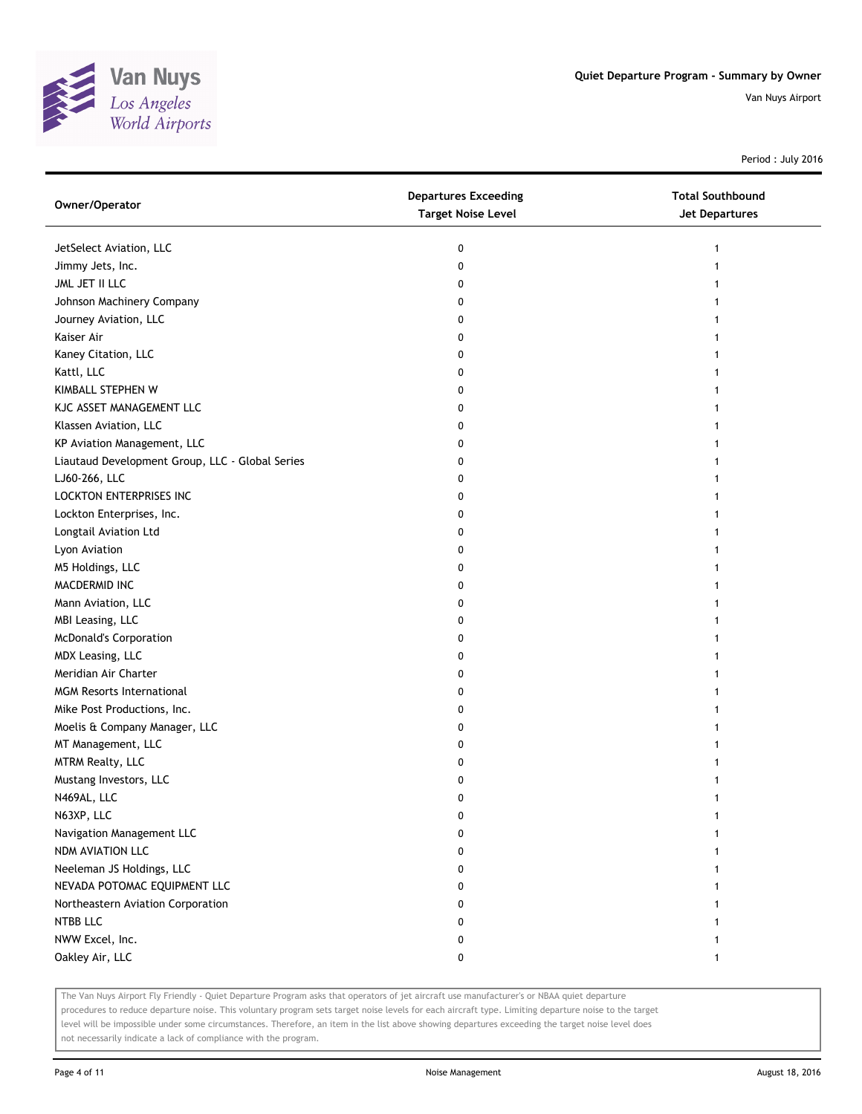

Period : July 2016

| Owner/Operator                                  | <b>Departures Exceeding</b><br><b>Target Noise Level</b> | <b>Total Southbound</b><br><b>Jet Departures</b> |
|-------------------------------------------------|----------------------------------------------------------|--------------------------------------------------|
| JetSelect Aviation, LLC                         | 0                                                        | 1                                                |
| Jimmy Jets, Inc.                                | 0                                                        | 1                                                |
| JML JET II LLC                                  | 0                                                        |                                                  |
| Johnson Machinery Company                       | 0                                                        |                                                  |
| Journey Aviation, LLC                           | 0                                                        |                                                  |
| Kaiser Air                                      | 0                                                        |                                                  |
| Kaney Citation, LLC                             | 0                                                        | 1                                                |
| Kattl, LLC                                      | 0                                                        | 1                                                |
| KIMBALL STEPHEN W                               | 0                                                        | 1                                                |
| KJC ASSET MANAGEMENT LLC                        | 0                                                        |                                                  |
| Klassen Aviation, LLC                           | 0                                                        |                                                  |
| KP Aviation Management, LLC                     | 0                                                        |                                                  |
| Liautaud Development Group, LLC - Global Series | 0                                                        |                                                  |
| LJ60-266, LLC                                   | 0                                                        |                                                  |
| LOCKTON ENTERPRISES INC                         | 0                                                        |                                                  |
| Lockton Enterprises, Inc.                       | 0                                                        |                                                  |
| Longtail Aviation Ltd                           | 0                                                        | 1                                                |
| Lyon Aviation                                   | 0                                                        | 1                                                |
| M5 Holdings, LLC                                | 0                                                        | 1                                                |
| MACDERMID INC                                   | 0                                                        |                                                  |
| Mann Aviation, LLC                              | 0                                                        |                                                  |
| MBI Leasing, LLC                                | 0                                                        |                                                  |
| <b>McDonald's Corporation</b>                   | 0                                                        |                                                  |
| MDX Leasing, LLC                                | 0                                                        |                                                  |
| Meridian Air Charter                            | 0                                                        |                                                  |
| <b>MGM Resorts International</b>                | 0                                                        |                                                  |
| Mike Post Productions, Inc.                     | 0                                                        |                                                  |
| Moelis & Company Manager, LLC                   | 0                                                        | 1                                                |
| MT Management, LLC                              | 0                                                        |                                                  |
| <b>MTRM Realty, LLC</b>                         | 0                                                        |                                                  |
| Mustang Investors, LLC                          | 0                                                        |                                                  |
| N469AL, LLC                                     | 0                                                        |                                                  |
| N63XP, LLC                                      | U                                                        |                                                  |
| Navigation Management LLC                       | 0                                                        |                                                  |
| NDM AVIATION LLC                                | 0                                                        |                                                  |
| Neeleman JS Holdings, LLC                       | 0                                                        |                                                  |
| NEVADA POTOMAC EQUIPMENT LLC                    | 0                                                        |                                                  |
| Northeastern Aviation Corporation               | 0                                                        |                                                  |
| NTBB LLC                                        | 0                                                        |                                                  |
| NWW Excel, Inc.                                 | 0                                                        |                                                  |
| Oakley Air, LLC                                 | 0                                                        | 1                                                |

The Van Nuys Airport Fly Friendly - Quiet Departure Program asks that operators of jet aircraft use manufacturer's or NBAA quiet departure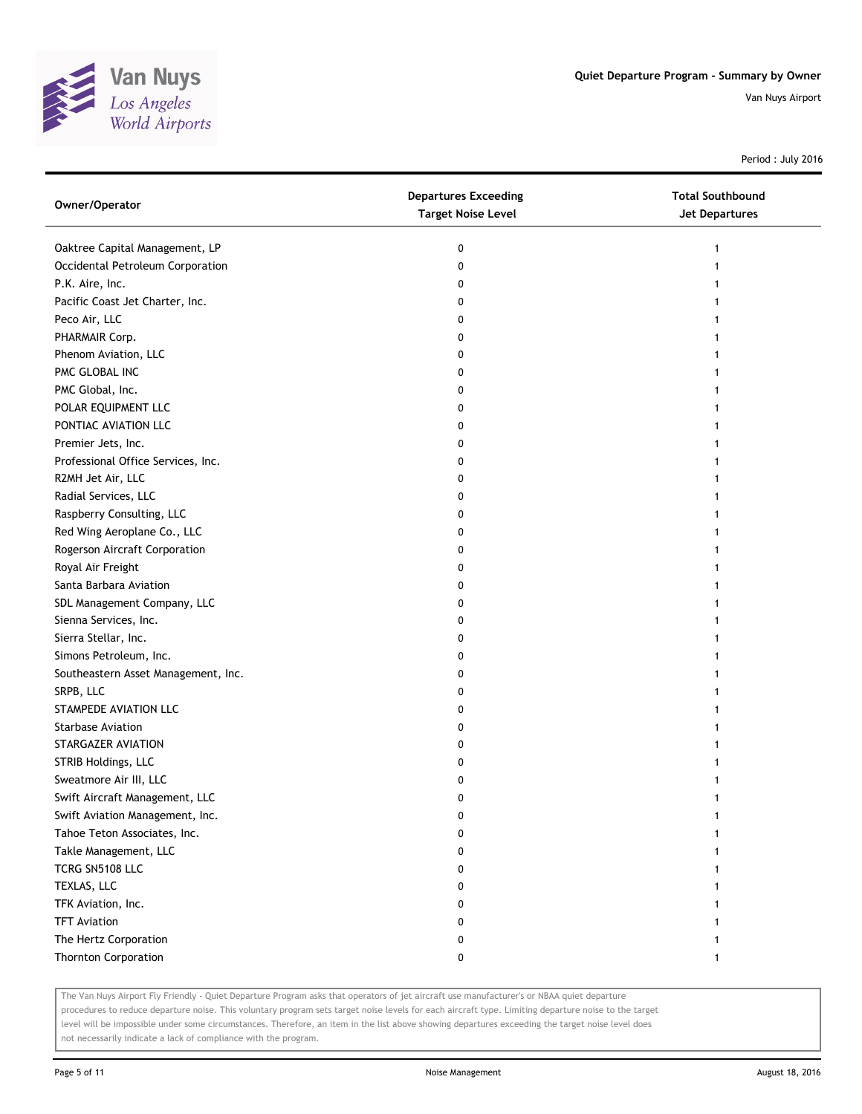

Period : July 2016

| Owner/Operator                      | <b>Departures Exceeding</b><br><b>Target Noise Level</b> | <b>Total Southbound</b><br><b>Jet Departures</b> |
|-------------------------------------|----------------------------------------------------------|--------------------------------------------------|
| Oaktree Capital Management, LP      | 0                                                        | 1                                                |
| Occidental Petroleum Corporation    | 0                                                        | 1                                                |
| P.K. Aire, Inc.                     | 0                                                        |                                                  |
| Pacific Coast Jet Charter, Inc.     | 0                                                        |                                                  |
| Peco Air, LLC                       | 0                                                        |                                                  |
| PHARMAIR Corp.                      | 0                                                        |                                                  |
| Phenom Aviation, LLC                | 0                                                        | 1                                                |
| PMC GLOBAL INC                      | 0                                                        | 1                                                |
| PMC Global, Inc.                    | 0                                                        |                                                  |
| POLAR EQUIPMENT LLC                 | 0                                                        |                                                  |
| PONTIAC AVIATION LLC                | 0                                                        |                                                  |
| Premier Jets, Inc.                  | 0                                                        |                                                  |
| Professional Office Services, Inc.  | 0                                                        |                                                  |
| R2MH Jet Air, LLC                   | 0                                                        |                                                  |
| Radial Services, LLC                | 0                                                        |                                                  |
| Raspberry Consulting, LLC           | 0                                                        |                                                  |
| Red Wing Aeroplane Co., LLC         | 0                                                        | 1                                                |
| Rogerson Aircraft Corporation       | 0                                                        | 1                                                |
| Royal Air Freight                   | 0                                                        |                                                  |
| Santa Barbara Aviation              | 0                                                        |                                                  |
| SDL Management Company, LLC         | 0                                                        |                                                  |
| Sienna Services, Inc.               | 0                                                        |                                                  |
| Sierra Stellar, Inc.                | 0                                                        |                                                  |
| Simons Petroleum, Inc.              | 0                                                        |                                                  |
| Southeastern Asset Management, Inc. | 0                                                        |                                                  |
| SRPB, LLC                           | 0                                                        |                                                  |
| STAMPEDE AVIATION LLC               | 0                                                        |                                                  |
| <b>Starbase Aviation</b>            | 0                                                        | 1                                                |
| STARGAZER AVIATION                  | 0                                                        |                                                  |
| STRIB Holdings, LLC                 | 0                                                        |                                                  |
| Sweatmore Air III, LLC              | 0                                                        |                                                  |
| Swift Aircraft Management, LLC      | 0                                                        |                                                  |
| Swift Aviation Management, Inc.     | U                                                        |                                                  |
| Tahoe Teton Associates, Inc.        | 0                                                        |                                                  |
| Takle Management, LLC               | 0                                                        |                                                  |
| TCRG SN5108 LLC                     | 0                                                        |                                                  |
| TEXLAS, LLC                         | 0                                                        |                                                  |
| TFK Aviation, Inc.                  | 0                                                        |                                                  |
| <b>TFT Aviation</b>                 | 0                                                        |                                                  |
| The Hertz Corporation               | 0                                                        |                                                  |
| <b>Thornton Corporation</b>         | 0                                                        | 1                                                |

The Van Nuys Airport Fly Friendly - Quiet Departure Program asks that operators of jet aircraft use manufacturer's or NBAA quiet departure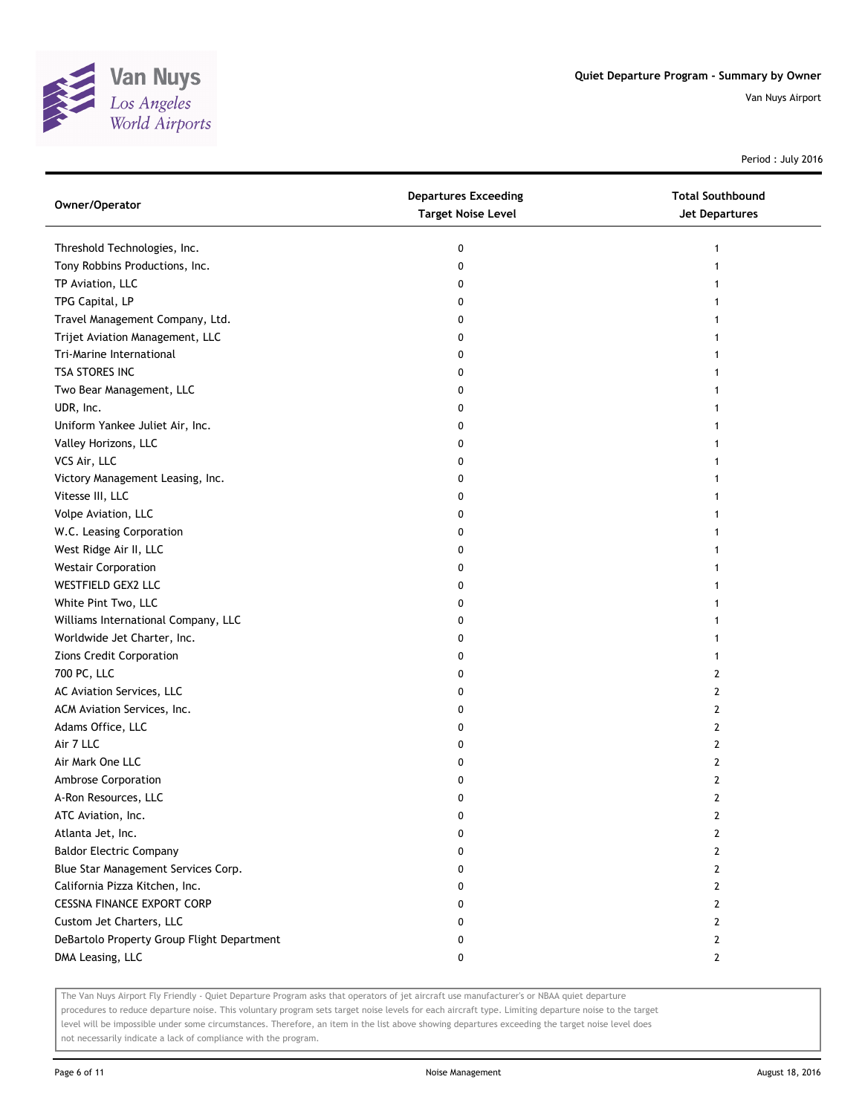

Period : July 2016

| Owner/Operator                             | <b>Departures Exceeding</b><br><b>Target Noise Level</b> | <b>Total Southbound</b><br><b>Jet Departures</b> |
|--------------------------------------------|----------------------------------------------------------|--------------------------------------------------|
| Threshold Technologies, Inc.               | 0                                                        | 1                                                |
| Tony Robbins Productions, Inc.             | 0                                                        | 1                                                |
| TP Aviation, LLC                           | 0                                                        |                                                  |
| TPG Capital, LP                            | 0                                                        |                                                  |
| Travel Management Company, Ltd.            | 0                                                        |                                                  |
| Trijet Aviation Management, LLC            | 0                                                        |                                                  |
| Tri-Marine International                   | 0                                                        | 1                                                |
| TSA STORES INC                             | 0                                                        | 1                                                |
| Two Bear Management, LLC                   | 0                                                        | 1                                                |
| UDR, Inc.                                  | 0                                                        |                                                  |
| Uniform Yankee Juliet Air, Inc.            | 0                                                        |                                                  |
| Valley Horizons, LLC                       | 0                                                        |                                                  |
| VCS Air, LLC                               | 0                                                        |                                                  |
| Victory Management Leasing, Inc.           | 0                                                        |                                                  |
| Vitesse III, LLC                           | 0                                                        |                                                  |
| Volpe Aviation, LLC                        | 0                                                        |                                                  |
| W.C. Leasing Corporation                   | 0                                                        | 1                                                |
| West Ridge Air II, LLC                     | 0                                                        | 1                                                |
| <b>Westair Corporation</b>                 | 0                                                        |                                                  |
| WESTFIELD GEX2 LLC                         | 0                                                        |                                                  |
| White Pint Two, LLC                        | 0                                                        |                                                  |
| Williams International Company, LLC        | 0                                                        |                                                  |
| Worldwide Jet Charter, Inc.                | 0                                                        |                                                  |
| Zions Credit Corporation                   | 0                                                        | 1                                                |
| 700 PC, LLC                                | 0                                                        | 2                                                |
| AC Aviation Services, LLC                  | 0                                                        | 2                                                |
| ACM Aviation Services, Inc.                | 0                                                        | 2                                                |
| Adams Office, LLC                          | 0                                                        | 2                                                |
| Air 7 LLC                                  | 0                                                        | 2                                                |
| Air Mark One LLC                           | 0                                                        | 2                                                |
| Ambrose Corporation                        | 0                                                        | 2                                                |
| A-Ron Resources, LLC                       | 0                                                        | 2                                                |
| ATC Aviation, Inc.                         | U                                                        | 2                                                |
| Atlanta Jet, Inc.                          | 0                                                        | 2                                                |
| <b>Baldor Electric Company</b>             | 0                                                        | 2                                                |
| Blue Star Management Services Corp.        | 0                                                        | 2                                                |
| California Pizza Kitchen, Inc.             | 0                                                        | $\overline{2}$                                   |
| <b>CESSNA FINANCE EXPORT CORP</b>          | 0                                                        | 2                                                |
| Custom Jet Charters, LLC                   | 0                                                        | 2                                                |
| DeBartolo Property Group Flight Department | 0                                                        | 2                                                |
| DMA Leasing, LLC                           | 0                                                        | $\mathbf{2}$                                     |

The Van Nuys Airport Fly Friendly - Quiet Departure Program asks that operators of jet aircraft use manufacturer's or NBAA quiet departure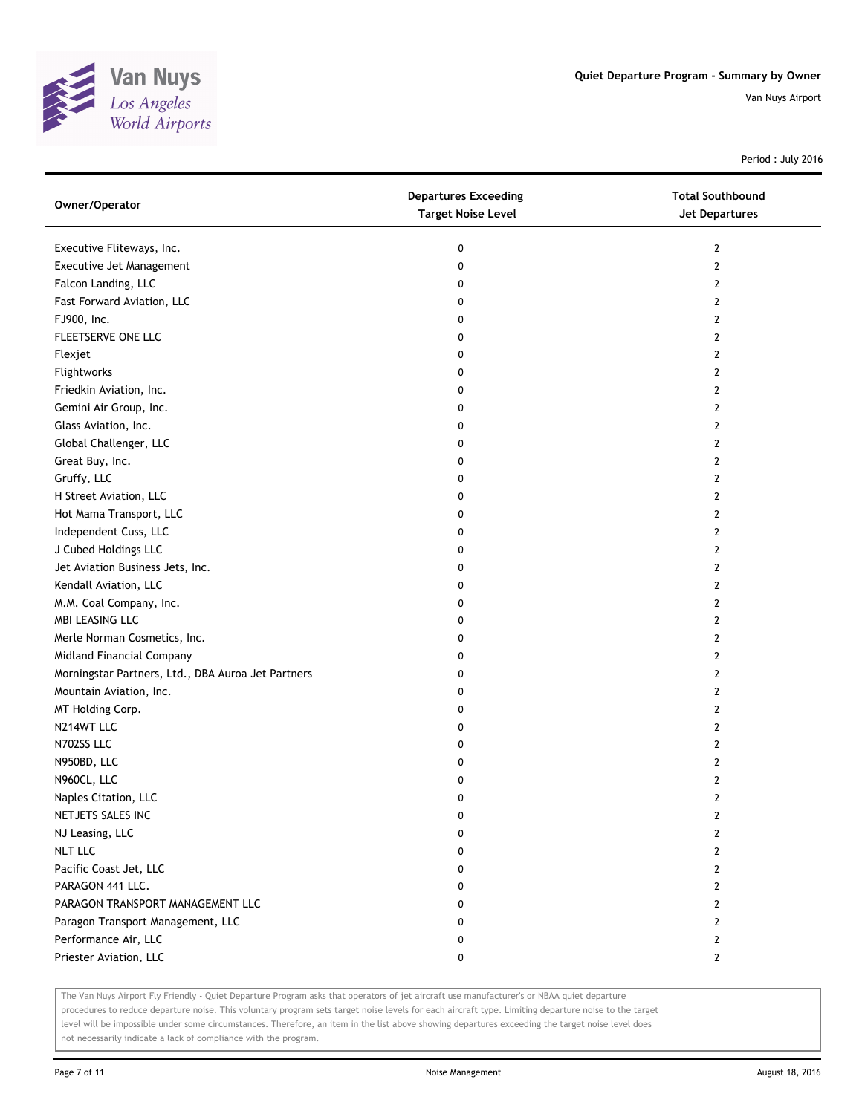

Period : July 2016

| Owner/Operator                                     | <b>Departures Exceeding</b><br><b>Target Noise Level</b> | <b>Total Southbound</b><br>Jet Departures |
|----------------------------------------------------|----------------------------------------------------------|-------------------------------------------|
| Executive Fliteways, Inc.                          | 0                                                        | 2                                         |
| Executive Jet Management                           | 0                                                        | 2                                         |
| Falcon Landing, LLC                                | 0                                                        | 2                                         |
| Fast Forward Aviation, LLC                         | 0                                                        | 2                                         |
| FJ900, Inc.                                        | 0                                                        | 2                                         |
| FLEETSERVE ONE LLC                                 | 0                                                        | 2                                         |
| Flexjet                                            | 0                                                        | 2                                         |
| Flightworks                                        | 0                                                        | 2                                         |
| Friedkin Aviation, Inc.                            | 0                                                        | 2                                         |
| Gemini Air Group, Inc.                             | 0                                                        | 2                                         |
| Glass Aviation, Inc.                               | 0                                                        | 2                                         |
| Global Challenger, LLC                             | 0                                                        | 2                                         |
| Great Buy, Inc.                                    | 0                                                        | 2                                         |
| Gruffy, LLC                                        | 0                                                        | 2                                         |
| H Street Aviation, LLC                             | 0                                                        | $\overline{2}$                            |
| Hot Mama Transport, LLC                            | 0                                                        | 2                                         |
| Independent Cuss, LLC                              | 0                                                        | 2                                         |
| J Cubed Holdings LLC                               | 0                                                        | 2                                         |
| Jet Aviation Business Jets, Inc.                   | 0                                                        | 2                                         |
| Kendall Aviation, LLC                              | 0                                                        | 2                                         |
| M.M. Coal Company, Inc.                            | 0                                                        | 2                                         |
| MBI LEASING LLC                                    | 0                                                        | 2                                         |
| Merle Norman Cosmetics, Inc.                       | 0                                                        | 2                                         |
| Midland Financial Company                          | 0                                                        | 2                                         |
| Morningstar Partners, Ltd., DBA Auroa Jet Partners | 0                                                        | 2                                         |
| Mountain Aviation, Inc.                            | 0                                                        | 2                                         |
| MT Holding Corp.                                   | 0                                                        | 2                                         |
| N214WT LLC                                         | 0                                                        | 2                                         |
| N702SS LLC                                         | 0                                                        | 2                                         |
| N950BD, LLC                                        | 0                                                        | 2                                         |
| N960CL, LLC                                        | 0                                                        | 2                                         |
| Naples Citation, LLC                               | 0                                                        | $\mathbf{2}$                              |
| NETJETS SALES INC                                  | 0                                                        | 2                                         |
| NJ Leasing, LLC                                    | 0                                                        | 2                                         |
| <b>NLT LLC</b>                                     | 0                                                        | $\mathbf{2}$                              |
| Pacific Coast Jet, LLC                             | 0                                                        | $\overline{2}$                            |
| PARAGON 441 LLC.                                   | 0                                                        | $\mathbf{2}$                              |
| PARAGON TRANSPORT MANAGEMENT LLC                   | 0                                                        | 2                                         |
| Paragon Transport Management, LLC                  | 0                                                        | 2                                         |
| Performance Air, LLC                               | 0                                                        | $\mathbf{2}$                              |
| Priester Aviation, LLC                             | 0                                                        | $\mathbf{2}$                              |

The Van Nuys Airport Fly Friendly - Quiet Departure Program asks that operators of jet aircraft use manufacturer's or NBAA quiet departure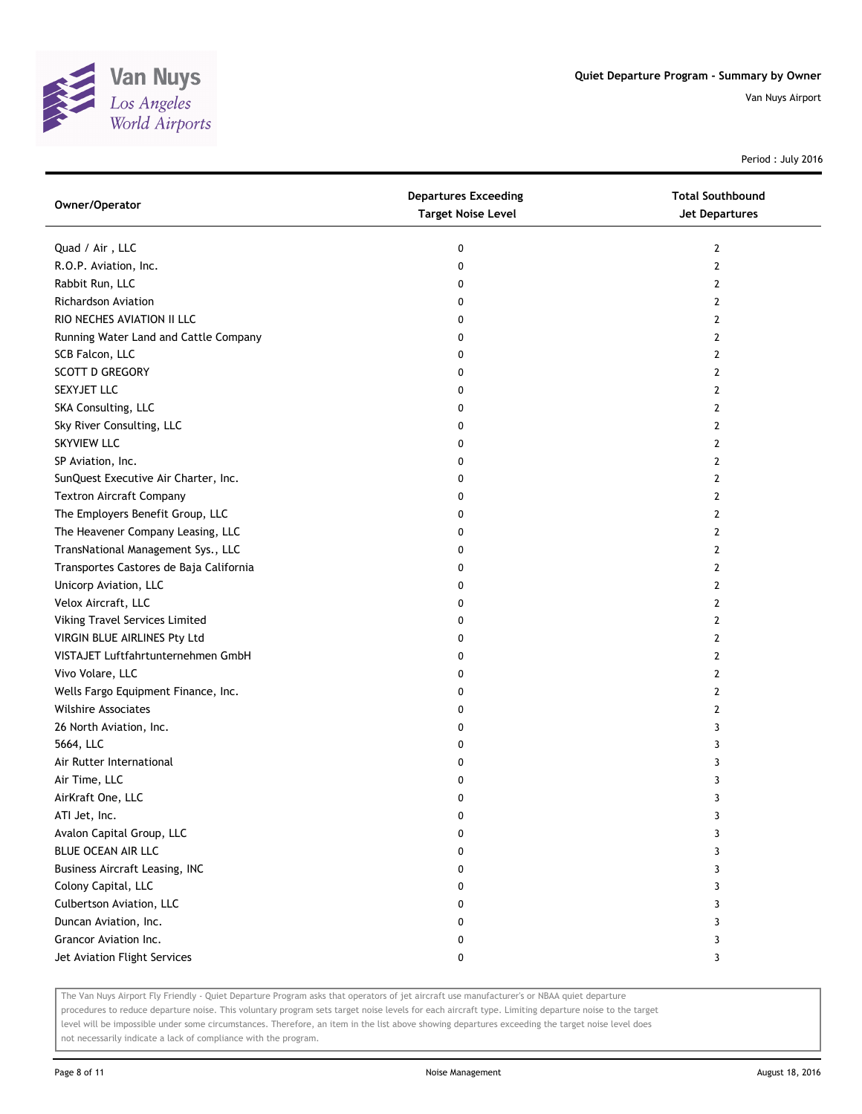

Period : July 2016

| Owner/Operator                          | <b>Departures Exceeding</b><br><b>Target Noise Level</b> | <b>Total Southbound</b><br>Jet Departures |
|-----------------------------------------|----------------------------------------------------------|-------------------------------------------|
| Quad / Air, LLC                         | 0                                                        | $\mathbf{2}$                              |
| R.O.P. Aviation, Inc.                   | 0                                                        | $\mathbf{2}$                              |
| Rabbit Run, LLC                         | 0                                                        | 2                                         |
| Richardson Aviation                     | 0                                                        | 2                                         |
| RIO NECHES AVIATION II LLC              | 0                                                        | $\mathbf{2}$                              |
| Running Water Land and Cattle Company   | 0                                                        | $\mathbf{2}$                              |
| SCB Falcon, LLC                         | 0                                                        | 2                                         |
| <b>SCOTT D GREGORY</b>                  | 0                                                        | 2                                         |
| SEXYJET LLC                             | 0                                                        | 2                                         |
| SKA Consulting, LLC                     | 0                                                        | $\mathbf{2}$                              |
| Sky River Consulting, LLC               | 0                                                        | $\mathbf{2}$                              |
| <b>SKYVIEW LLC</b>                      | 0                                                        | 2                                         |
| SP Aviation, Inc.                       | 0                                                        | 2                                         |
| SunQuest Executive Air Charter, Inc.    | 0                                                        | 2                                         |
| <b>Textron Aircraft Company</b>         | 0                                                        | $\overline{2}$                            |
| The Employers Benefit Group, LLC        | 0                                                        | 2                                         |
| The Heavener Company Leasing, LLC       | 0                                                        | 2                                         |
| TransNational Management Sys., LLC      | 0                                                        | 2                                         |
| Transportes Castores de Baja California | 0                                                        | 2                                         |
| Unicorp Aviation, LLC                   | 0                                                        | $\overline{2}$                            |
| Velox Aircraft, LLC                     | 0                                                        | $\overline{2}$                            |
| Viking Travel Services Limited          | 0                                                        | 2                                         |
| VIRGIN BLUE AIRLINES Pty Ltd            | 0                                                        | 2                                         |
| VISTAJET Luftfahrtunternehmen GmbH      | 0                                                        | 2                                         |
| Vivo Volare, LLC                        | 0                                                        | $\overline{2}$                            |
| Wells Fargo Equipment Finance, Inc.     | 0                                                        | 2                                         |
| <b>Wilshire Associates</b>              | 0                                                        | 2                                         |
| 26 North Aviation, Inc.                 | 0                                                        | 3                                         |
| 5664, LLC                               | 0                                                        | 3                                         |
| Air Rutter International                | 0                                                        | 3                                         |
| Air Time, LLC                           | 0                                                        | 3                                         |
| AirKraft One, LLC                       | 0                                                        | 3                                         |
| ATI Jet, Inc.                           | 0                                                        | 3                                         |
| Avalon Capital Group, LLC               | 0                                                        | 3                                         |
| BLUE OCEAN AIR LLC                      | 0                                                        | 3                                         |
| <b>Business Aircraft Leasing, INC</b>   | 0                                                        | 3                                         |
| Colony Capital, LLC                     | 0                                                        | 3                                         |
| Culbertson Aviation, LLC                | 0                                                        | 3                                         |
| Duncan Aviation, Inc.                   | 0                                                        | 3                                         |
| Grancor Aviation Inc.                   | 0                                                        | 3                                         |
| Jet Aviation Flight Services            | 0                                                        | 3                                         |

The Van Nuys Airport Fly Friendly - Quiet Departure Program asks that operators of jet aircraft use manufacturer's or NBAA quiet departure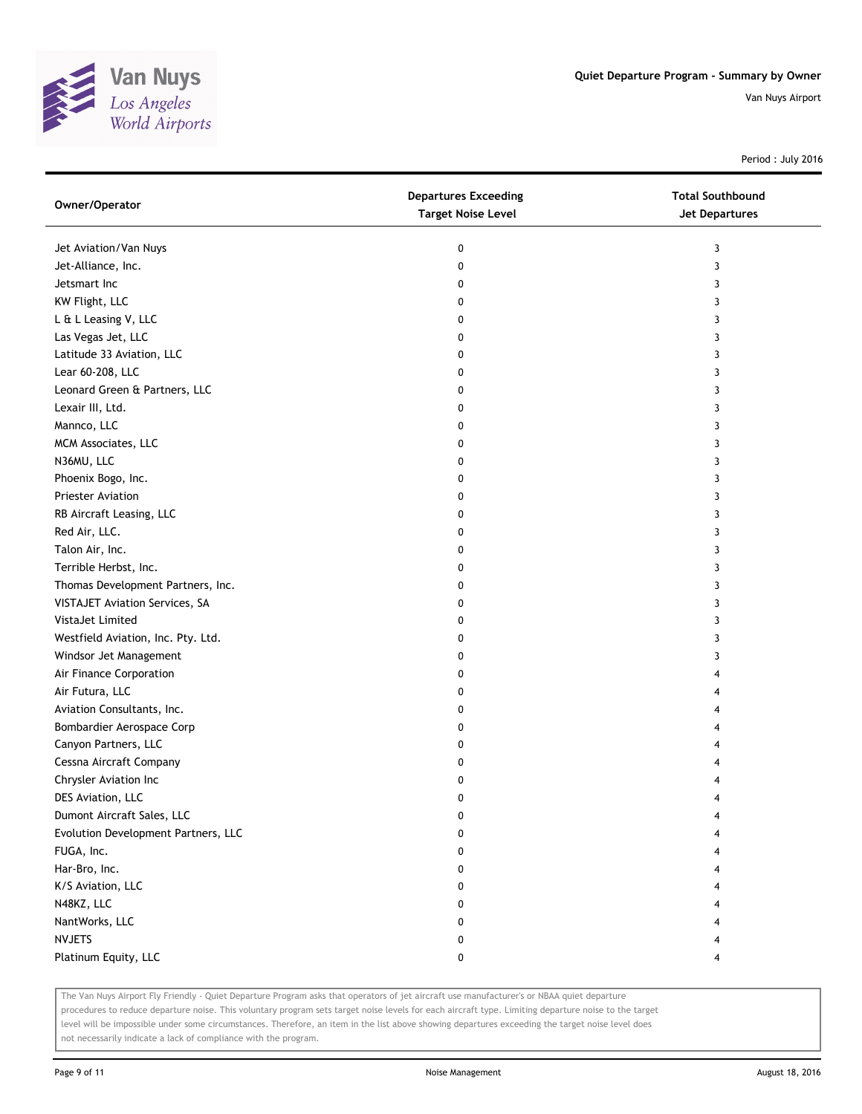

Period : July 2016

| Owner/Operator                      | <b>Departures Exceeding</b><br><b>Target Noise Level</b> | <b>Total Southbound</b><br>Jet Departures |
|-------------------------------------|----------------------------------------------------------|-------------------------------------------|
| Jet Aviation/Van Nuys               | 0                                                        | 3                                         |
| Jet-Alliance, Inc.                  | 0                                                        | 3                                         |
| Jetsmart Inc                        | 0                                                        | 3                                         |
| KW Flight, LLC                      | 0                                                        | 3                                         |
| L & L Leasing V, LLC                | 0                                                        | 3                                         |
| Las Vegas Jet, LLC                  | 0                                                        | 3                                         |
| Latitude 33 Aviation, LLC           | 0                                                        | 3                                         |
| Lear 60-208, LLC                    | 0                                                        | 3                                         |
| Leonard Green & Partners, LLC       | 0                                                        | 3                                         |
| Lexair III, Ltd.                    | 0                                                        | 3                                         |
| Mannco, LLC                         | 0                                                        | 3                                         |
| MCM Associates, LLC                 | 0                                                        | 3                                         |
| N36MU, LLC                          | 0                                                        | 3                                         |
| Phoenix Bogo, Inc.                  | 0                                                        | 3                                         |
| Priester Aviation                   | 0                                                        | 3                                         |
| RB Aircraft Leasing, LLC            | 0                                                        | 3                                         |
| Red Air, LLC.                       | 0                                                        | 3                                         |
| Talon Air, Inc.                     | 0                                                        | 3                                         |
| Terrible Herbst, Inc.               | 0                                                        | 3                                         |
| Thomas Development Partners, Inc.   | 0                                                        | 3                                         |
| VISTAJET Aviation Services, SA      | 0                                                        | 3                                         |
| VistaJet Limited                    | 0                                                        | 3                                         |
| Westfield Aviation, Inc. Pty. Ltd.  | 0                                                        | 3                                         |
| Windsor Jet Management              | 0                                                        | 3                                         |
| Air Finance Corporation             | 0                                                        | 4                                         |
| Air Futura, LLC                     | 0                                                        | 4                                         |
| Aviation Consultants, Inc.          | 0                                                        | 4                                         |
| Bombardier Aerospace Corp           | 0                                                        |                                           |
| Canyon Partners, LLC                | 0                                                        |                                           |
| Cessna Aircraft Company             | 0                                                        |                                           |
| Chrysler Aviation Inc               | 0                                                        |                                           |
| DES Aviation, LLC                   | 0                                                        |                                           |
| Dumont Aircraft Sales, LLC          | 0                                                        |                                           |
| Evolution Development Partners, LLC | 0                                                        |                                           |
| FUGA, Inc.                          | 0                                                        |                                           |
| Har-Bro, Inc.                       | 0                                                        |                                           |
| K/S Aviation, LLC                   | 0                                                        |                                           |
| N48KZ, LLC                          | 0                                                        |                                           |
| NantWorks, LLC                      | 0                                                        |                                           |
| <b>NVJETS</b>                       | 0                                                        |                                           |
| Platinum Equity, LLC                | 0                                                        | 4                                         |

The Van Nuys Airport Fly Friendly - Quiet Departure Program asks that operators of jet aircraft use manufacturer's or NBAA quiet departure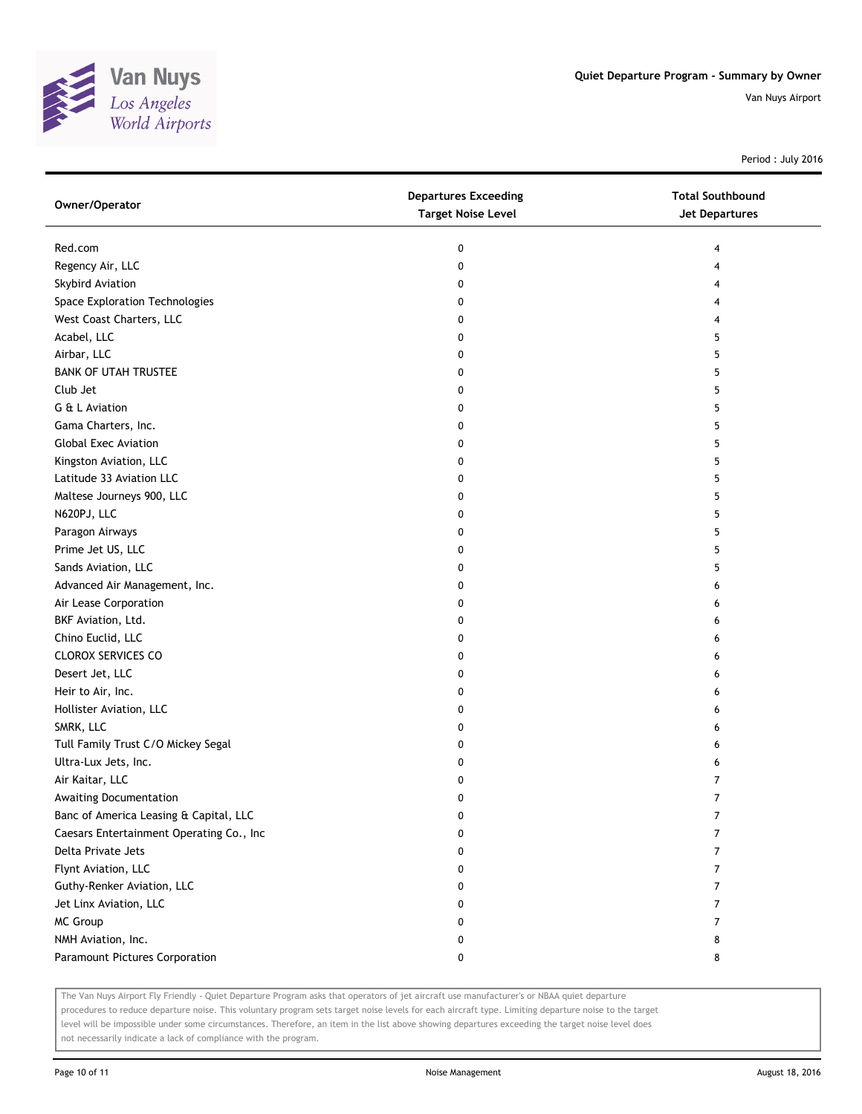

Period : July 2016

| Owner/Operator                           | <b>Departures Exceeding</b><br><b>Target Noise Level</b> | <b>Total Southbound</b><br><b>Jet Departures</b> |
|------------------------------------------|----------------------------------------------------------|--------------------------------------------------|
| Red.com                                  | 0                                                        | 4                                                |
| Regency Air, LLC                         | 0                                                        | 4                                                |
| <b>Skybird Aviation</b>                  | 0                                                        | 4                                                |
| Space Exploration Technologies           | 0                                                        | 4                                                |
| West Coast Charters, LLC                 | 0                                                        | 4                                                |
| Acabel, LLC                              | 0                                                        | 5                                                |
| Airbar, LLC                              | 0                                                        | 5                                                |
| <b>BANK OF UTAH TRUSTEE</b>              | 0                                                        | 5                                                |
| Club Jet                                 | 0                                                        | 5                                                |
| G & L Aviation                           | 0                                                        | 5                                                |
| Gama Charters, Inc.                      | 0                                                        | 5                                                |
| <b>Global Exec Aviation</b>              | 0                                                        | 5                                                |
| Kingston Aviation, LLC                   | 0                                                        | 5                                                |
| Latitude 33 Aviation LLC                 | 0                                                        | 5                                                |
| Maltese Journeys 900, LLC                | 0                                                        | 5                                                |
| N620PJ, LLC                              | 0                                                        | 5                                                |
| Paragon Airways                          | 0                                                        | 5                                                |
| Prime Jet US, LLC                        | 0                                                        | 5                                                |
| Sands Aviation, LLC                      | 0                                                        | 5                                                |
| Advanced Air Management, Inc.            | 0                                                        | 6                                                |
| Air Lease Corporation                    | 0                                                        | 6                                                |
| BKF Aviation, Ltd.                       | 0                                                        | 6                                                |
| Chino Euclid, LLC                        | 0                                                        | 6                                                |
| <b>CLOROX SERVICES CO</b>                | 0                                                        | 6                                                |
| Desert Jet, LLC                          | 0                                                        | 6                                                |
| Heir to Air, Inc.                        | 0                                                        | 6                                                |
| Hollister Aviation, LLC                  | 0                                                        | 6                                                |
| SMRK, LLC                                | 0                                                        | 6                                                |
| Tull Family Trust C/O Mickey Segal       | 0                                                        | 6                                                |
| Ultra-Lux Jets, Inc.                     | 0                                                        | 6                                                |
| Air Kaitar, LLC                          | 0                                                        | 7                                                |
| Awaiting Documentation                   | 0                                                        | $\overline{7}$                                   |
| Banc of America Leasing & Capital, LLC   | 0                                                        | 7                                                |
| Caesars Entertainment Operating Co., Inc | 0                                                        | 7                                                |
| Delta Private Jets                       | 0                                                        | 7                                                |
| Flynt Aviation, LLC                      | 0                                                        | 7                                                |
| Guthy-Renker Aviation, LLC               | 0                                                        | 7                                                |
| Jet Linx Aviation, LLC                   | 0                                                        | 7                                                |
| <b>MC Group</b>                          | 0                                                        | 7                                                |
| NMH Aviation, Inc.                       | 0                                                        | 8                                                |
| Paramount Pictures Corporation           | 0                                                        | 8                                                |

The Van Nuys Airport Fly Friendly - Quiet Departure Program asks that operators of jet aircraft use manufacturer's or NBAA quiet departure